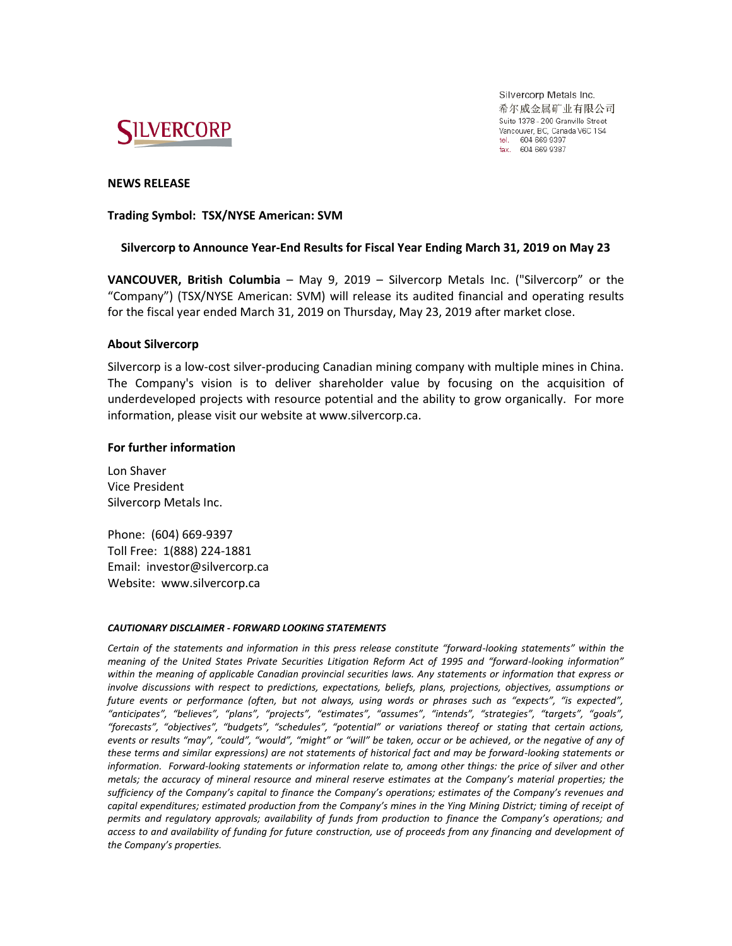

Silvercorp Metals Inc. 希尔威金属矿业有限公司 Suite 1378 - 200 Granville Street Vancouver, BC, Canada V6C 1S4 tel. 604 669 9397<br>fax. 604 669 9397

# **NEWS RELEASE**

**Trading Symbol: TSX/NYSE American: SVM**

# **Silvercorp to Announce Year-End Results for Fiscal Year Ending March 31, 2019 on May 23**

**VANCOUVER, British Columbia** – May 9, 2019 – Silvercorp Metals Inc. ("Silvercorp" or the "Company") (TSX/NYSE American: SVM) will release its audited financial and operating results for the fiscal year ended March 31, 2019 on Thursday, May 23, 2019 after market close.

### **About Silvercorp**

Silvercorp is a low-cost silver-producing Canadian mining company with multiple mines in China. The Company's vision is to deliver shareholder value by focusing on the acquisition of underdeveloped projects with resource potential and the ability to grow organically. For more information, please visit our website at www.silvercorp.ca.

### **For further information**

Lon Shaver Vice President Silvercorp Metals Inc.

Phone: (604) 669-9397 Toll Free: 1(888) 224-1881 Email: investor@silvercorp.ca Website: www.silvercorp.ca

#### *CAUTIONARY DISCLAIMER - FORWARD LOOKING STATEMENTS*

*Certain of the statements and information in this press release constitute "forward-looking statements" within the meaning of the United States Private Securities Litigation Reform Act of 1995 and "forward-looking information"*  within the meaning of applicable Canadian provincial securities laws. Any statements or information that express or *involve discussions with respect to predictions, expectations, beliefs, plans, projections, objectives, assumptions or future events or performance (often, but not always, using words or phrases such as "expects", "is expected", "anticipates", "believes", "plans", "projects", "estimates", "assumes", "intends", "strategies", "targets", "goals", "forecasts", "objectives", "budgets", "schedules", "potential" or variations thereof or stating that certain actions, events or results "may", "could", "would", "might" or "will" be taken, occur or be achieved, or the negative of any of these terms and similar expressions) are not statements of historical fact and may be forward-looking statements or information. Forward-looking statements or information relate to, among other things: the price of silver and other metals; the accuracy of mineral resource and mineral reserve estimates at the Company's material properties; the sufficiency of the Company's capital to finance the Company's operations; estimates of the Company's revenues and capital expenditures; estimated production from the Company's mines in the Ying Mining District; timing of receipt of permits and regulatory approvals; availability of funds from production to finance the Company's operations; and access to and availability of funding for future construction, use of proceeds from any financing and development of the Company's properties.*